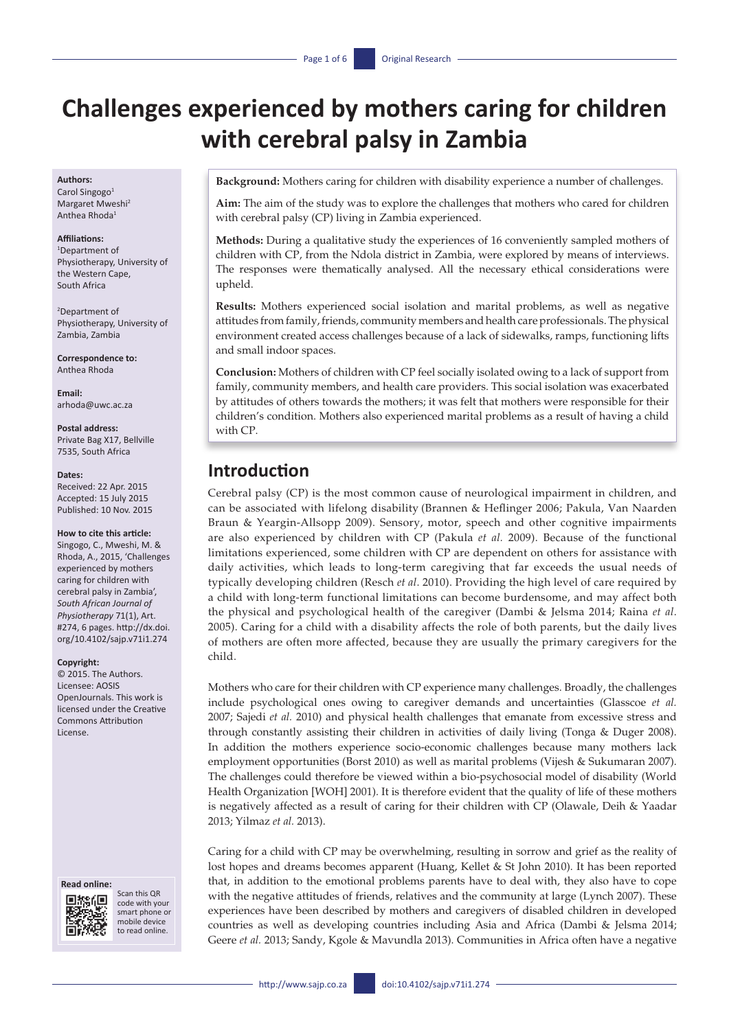# **Challenges experienced by mothers caring for children with cerebral palsy in Zambia**

#### **Authors:**

Carol Singogo<sup>1</sup> Margaret Mweshi2 Anthea Rhoda<sup>1</sup>

#### **Affiliations:**

1 Department of Physiotherapy, University of the Western Cape, South Africa

2 Department of Physiotherapy, University of Zambia, Zambia

**Correspondence to:** Anthea Rhoda

**Email:** [arhoda@uwc.ac.za](mailto:arhoda@uwc.ac.za)

#### **Postal address:**

Private Bag X17, Bellville 7535, South Africa

#### **Dates:**

Received: 22 Apr. 2015 Accepted: 15 July 2015 Published: 10 Nov. 2015

### **How to cite this article:**

Singogo, C., Mweshi, M. & Rhoda, A., 2015, 'Challenges experienced by mothers caring for children with cerebral palsy in Zambia', *South African Journal of Physiotherapy* 71(1), Art. #274, 6 pages. [http://dx.doi.](http://dx.doi.org/10.4102/sajp.v71i1.274) [org/10.4102/sajp.v71i1.274](http://dx.doi.org/10.4102/sajp.v71i1.274)

#### **Copyright:**

© 2015. The Authors. Licensee: AOSIS OpenJournals. This work is licensed under the Creative Commons Attribution License.

#### **Read online:**



Scan this QR code with your smart phone or mobile device to read online.

**Background:** Mothers caring for children with disability experience a number of challenges.

**Aim:** The aim of the study was to explore the challenges that mothers who cared for children with cerebral palsy (CP) living in Zambia experienced.

**Methods:** During a qualitative study the experiences of 16 conveniently sampled mothers of children with CP, from the Ndola district in Zambia, were explored by means of interviews. The responses were thematically analysed. All the necessary ethical considerations were upheld.

**Results:** Mothers experienced social isolation and marital problems, as well as negative attitudes from family, friends, community members and health care professionals. The physical environment created access challenges because of a lack of sidewalks, ramps, functioning lifts and small indoor spaces.

**Conclusion:** Mothers of children with CP feel socially isolated owing to a lack of support from family, community members, and health care providers. This social isolation was exacerbated by attitudes of others towards the mothers; it was felt that mothers were responsible for their children's condition. Mothers also experienced marital problems as a result of having a child with  $CP$ 

## **Introduction**

Cerebral palsy (CP) is the most common cause of neurological impairment in children, and can be associated with lifelong disability (Brannen & Heflinger 2006; Pakula, Van Naarden Braun & Yeargin-Allsopp 2009). Sensory, motor, speech and other cognitive impairments are also experienced by children with CP (Pakula *et al.* 2009). Because of the functional limitations experienced, some children with CP are dependent on others for assistance with daily activities, which leads to long-term caregiving that far exceeds the usual needs of typically developing children (Resch *et al*. 2010). Providing the high level of care required by a child with long-term functional limitations can become burdensome, and may affect both the physical and psychological health of the caregiver (Dambi & Jelsma 2014; Raina *et al*. 2005). Caring for a child with a disability affects the role of both parents, but the daily lives of mothers are often more affected, because they are usually the primary caregivers for the child.

Mothers who care for their children with CP experience many challenges. Broadly, the challenges include psychological ones owing to caregiver demands and uncertainties (Glasscoe *et al.* 2007; Sajedi *et al.* 2010) and physical health challenges that emanate from excessive stress and through constantly assisting their children in activities of daily living (Tonga & Duger 2008). In addition the mothers experience socio-economic challenges because many mothers lack employment opportunities (Borst 2010) as well as marital problems (Vijesh & Sukumaran 2007). The challenges could therefore be viewed within a bio-psychosocial model of disability (World Health Organization [WOH] 2001). It is therefore evident that the quality of life of these mothers is negatively affected as a result of caring for their children with CP (Olawale, Deih & Yaadar 2013; Yilmaz *et al.* 2013).

Caring for a child with CP may be overwhelming, resulting in sorrow and grief as the reality of lost hopes and dreams becomes apparent (Huang, Kellet & St John 2010). It has been reported that, in addition to the emotional problems parents have to deal with, they also have to cope with the negative attitudes of friends, relatives and the community at large (Lynch 2007). These experiences have been described by mothers and caregivers of disabled children in developed countries as well as developing countries including Asia and Africa (Dambi & Jelsma 2014; Geere *et al.* 2013; Sandy, Kgole & Mavundla 2013). Communities in Africa often have a negative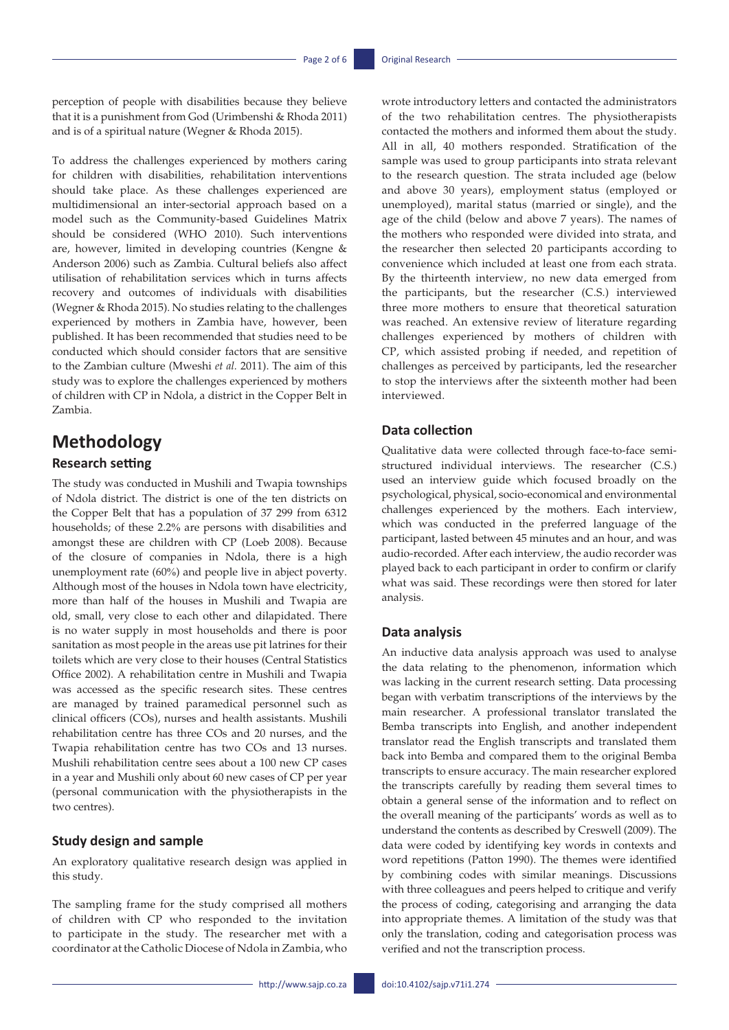perception of people with disabilities because they believe that it is a punishment from God (Urimbenshi & Rhoda 2011) and is of a spiritual nature (Wegner & Rhoda 2015).

To address the challenges experienced by mothers caring for children with disabilities, rehabilitation interventions should take place. As these challenges experienced are multidimensional an inter-sectorial approach based on a model such as the Community-based Guidelines Matrix should be considered (WHO 2010). Such interventions are, however, limited in developing countries (Kengne & Anderson 2006) such as Zambia. Cultural beliefs also affect utilisation of rehabilitation services which in turns affects recovery and outcomes of individuals with disabilities (Wegner & Rhoda 2015). No studies relating to the challenges experienced by mothers in Zambia have, however, been published. It has been recommended that studies need to be conducted which should consider factors that are sensitive to the Zambian culture (Mweshi *et al.* 2011). The aim of this study was to explore the challenges experienced by mothers of children with CP in Ndola, a district in the Copper Belt in Zambia.

# **Methodology Research setting**

The study was conducted in Mushili and Twapia townships of Ndola district. The district is one of the ten districts on the Copper Belt that has a population of 37 299 from 6312 households; of these 2.2% are persons with disabilities and amongst these are children with CP (Loeb 2008). Because of the closure of companies in Ndola, there is a high unemployment rate (60%) and people live in abject poverty. Although most of the houses in Ndola town have electricity, more than half of the houses in Mushili and Twapia are old, small, very close to each other and dilapidated. There is no water supply in most households and there is poor sanitation as most people in the areas use pit latrines for their toilets which are very close to their houses (Central Statistics Office 2002). A rehabilitation centre in Mushili and Twapia was accessed as the specific research sites. These centres are managed by trained paramedical personnel such as clinical officers (COs), nurses and health assistants. Mushili rehabilitation centre has three COs and 20 nurses, and the Twapia rehabilitation centre has two COs and 13 nurses. Mushili rehabilitation centre sees about a 100 new CP cases in a year and Mushili only about 60 new cases of CP per year (personal communication with the physiotherapists in the two centres).

### **Study design and sample**

An exploratory qualitative research design was applied in this study.

The sampling frame for the study comprised all mothers of children with CP who responded to the invitation to participate in the study. The researcher met with a coordinator at the Catholic Diocese of Ndola in Zambia, who

age of the child (below and above 7 years). The names of the mothers who responded were divided into strata, and the researcher then selected 20 participants according to convenience which included at least one from each strata. By the thirteenth interview, no new data emerged from the participants, but the researcher (C.S.) interviewed three more mothers to ensure that theoretical saturation was reached. An extensive review of literature regarding challenges experienced by mothers of children with CP, which assisted probing if needed, and repetition of challenges as perceived by participants, led the researcher to stop the interviews after the sixteenth mother had been interviewed. **Data collection** Qualitative data were collected through face-to-face semistructured individual interviews. The researcher (C.S.) used an interview guide which focused broadly on the

psychological, physical, socio-economical and environmental challenges experienced by the mothers. Each interview, which was conducted in the preferred language of the participant, lasted between 45 minutes and an hour, and was audio-recorded. After each interview, the audio recorder was played back to each participant in order to confirm or clarify what was said. These recordings were then stored for later analysis.

wrote introductory letters and contacted the administrators of the two rehabilitation centres. The physiotherapists contacted the mothers and informed them about the study. All in all, 40 mothers responded. Stratification of the sample was used to group participants into strata relevant to the research question. The strata included age (below and above 30 years), employment status (employed or unemployed), marital status (married or single), and the

### **Data analysis**

An inductive data analysis approach was used to analyse the data relating to the phenomenon, information which was lacking in the current research setting. Data processing began with verbatim transcriptions of the interviews by the main researcher. A professional translator translated the Bemba transcripts into English, and another independent translator read the English transcripts and translated them back into Bemba and compared them to the original Bemba transcripts to ensure accuracy. The main researcher explored the transcripts carefully by reading them several times to obtain a general sense of the information and to reflect on the overall meaning of the participants' words as well as to understand the contents as described by Creswell (2009). The data were coded by identifying key words in contexts and word repetitions (Patton 1990). The themes were identified by combining codes with similar meanings. Discussions with three colleagues and peers helped to critique and verify the process of coding, categorising and arranging the data into appropriate themes. A limitation of the study was that only the translation, coding and categorisation process was verified and not the transcription process.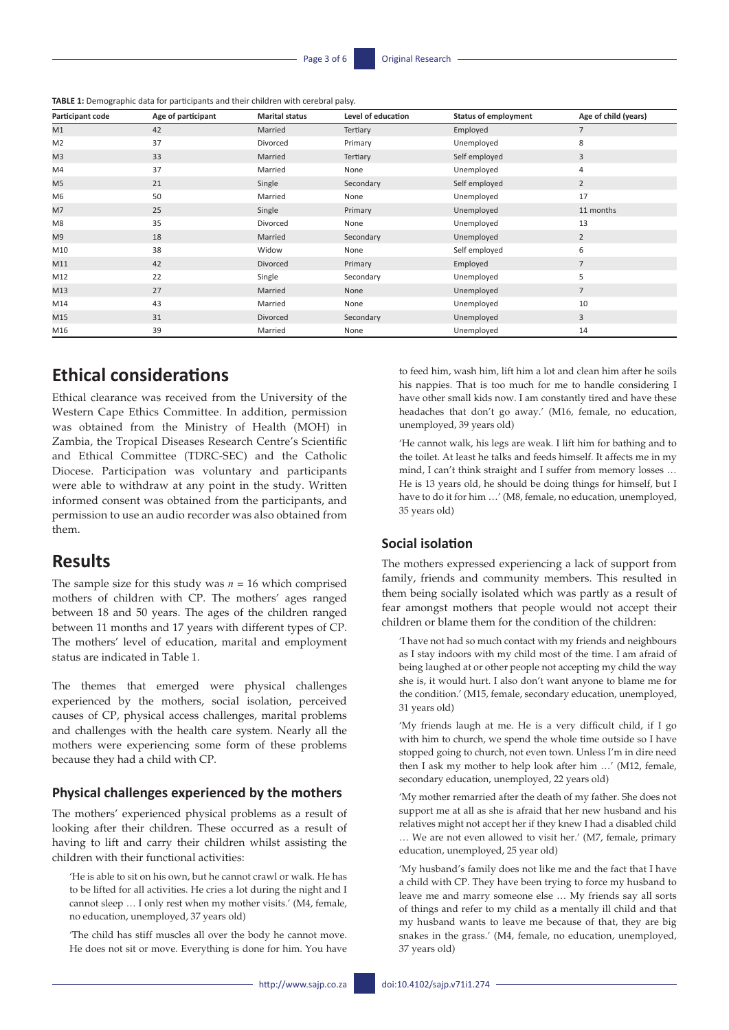**TABLE 1:** Demographic data for participants and their children with cerebral palsy.

| Participant code | Age of participant | <b>Marital status</b> | Level of education | <b>Status of employment</b> | Age of child (years) |
|------------------|--------------------|-----------------------|--------------------|-----------------------------|----------------------|
| M1               | 42                 | Married               | Tertiary           | Employed                    | $\overline{7}$       |
| M <sub>2</sub>   | 37                 | Divorced              | Primary            | Unemployed                  | 8                    |
| M <sub>3</sub>   | 33                 | Married               | Tertiary           | Self employed               | 3                    |
| M4               | 37                 | Married               | None               | Unemployed                  | 4                    |
| M5               | 21                 | Single                | Secondary          | Self employed               | $\overline{2}$       |
| M <sub>6</sub>   | 50                 | Married               | None               | Unemployed                  | 17                   |
| M7               | 25                 | Single                | Primary            | Unemployed                  | 11 months            |
| M8               | 35                 | Divorced              | None               | Unemployed                  | 13                   |
| M9               | 18                 | Married               | Secondary          | Unemployed                  | $\overline{2}$       |
| M10              | 38                 | Widow                 | None               | Self employed               | 6                    |
| M11              | 42                 | Divorced              | Primary            | Employed                    | $\overline{7}$       |
| M12              | 22                 | Single                | Secondary          | Unemployed                  | 5                    |
| M13              | 27                 | Married               | None               | Unemployed                  | $\overline{7}$       |
| M14              | 43                 | Married               | None               | Unemployed                  | 10                   |
| M15              | 31                 | Divorced              | Secondary          | Unemployed                  | 3                    |
| M16              | 39                 | Married               | None               | Unemployed                  | 14                   |

# **Ethical considerations**

Ethical clearance was received from the University of the Western Cape Ethics Committee. In addition, permission was obtained from the Ministry of Health (MOH) in Zambia, the Tropical Diseases Research Centre's Scientific and Ethical Committee (TDRC-SEC) and the Catholic Diocese. Participation was voluntary and participants were able to withdraw at any point in the study. Written informed consent was obtained from the participants, and permission to use an audio recorder was also obtained from them.

### **Results**

The sample size for this study was  $n = 16$  which comprised mothers of children with CP. The mothers' ages ranged between 18 and 50 years. The ages of the children ranged between 11 months and 17 years with different types of CP. The mothers' level of education, marital and employment status are indicated in Table 1.

The themes that emerged were physical challenges experienced by the mothers, social isolation, perceived causes of CP, physical access challenges, marital problems and challenges with the health care system. Nearly all the mothers were experiencing some form of these problems because they had a child with CP.

### **Physical challenges experienced by the mothers**

The mothers' experienced physical problems as a result of looking after their children. These occurred as a result of having to lift and carry their children whilst assisting the children with their functional activities:

'He is able to sit on his own, but he cannot crawl or walk. He has to be lifted for all activities. He cries a lot during the night and I cannot sleep … I only rest when my mother visits.' (M4, female, no education, unemployed, 37 years old)

'The child has stiff muscles all over the body he cannot move. He does not sit or move. Everything is done for him. You have to feed him, wash him, lift him a lot and clean him after he soils his nappies. That is too much for me to handle considering I have other small kids now. I am constantly tired and have these headaches that don't go away.' (M16, female, no education, unemployed, 39 years old)

'He cannot walk, his legs are weak. I lift him for bathing and to the toilet. At least he talks and feeds himself. It affects me in my mind, I can't think straight and I suffer from memory losses … He is 13 years old, he should be doing things for himself, but I have to do it for him …' (M8, female, no education, unemployed, 35 years old)

### **Social isolation**

The mothers expressed experiencing a lack of support from family, friends and community members. This resulted in them being socially isolated which was partly as a result of fear amongst mothers that people would not accept their children or blame them for the condition of the children:

'I have not had so much contact with my friends and neighbours as I stay indoors with my child most of the time. I am afraid of being laughed at or other people not accepting my child the way she is, it would hurt. I also don't want anyone to blame me for the condition.' (M15, female, secondary education, unemployed, 31 years old)

'My friends laugh at me. He is a very difficult child, if I go with him to church, we spend the whole time outside so I have stopped going to church, not even town. Unless I'm in dire need then I ask my mother to help look after him …' (M12, female, secondary education, unemployed, 22 years old)

'My mother remarried after the death of my father. She does not support me at all as she is afraid that her new husband and his relatives might not accept her if they knew I had a disabled child … We are not even allowed to visit her.' (M7, female, primary education, unemployed, 25 year old)

'My husband's family does not like me and the fact that I have a child with CP. They have been trying to force my husband to leave me and marry someone else … My friends say all sorts of things and refer to my child as a mentally ill child and that my husband wants to leave me because of that, they are big snakes in the grass.' (M4, female, no education, unemployed, 37 years old)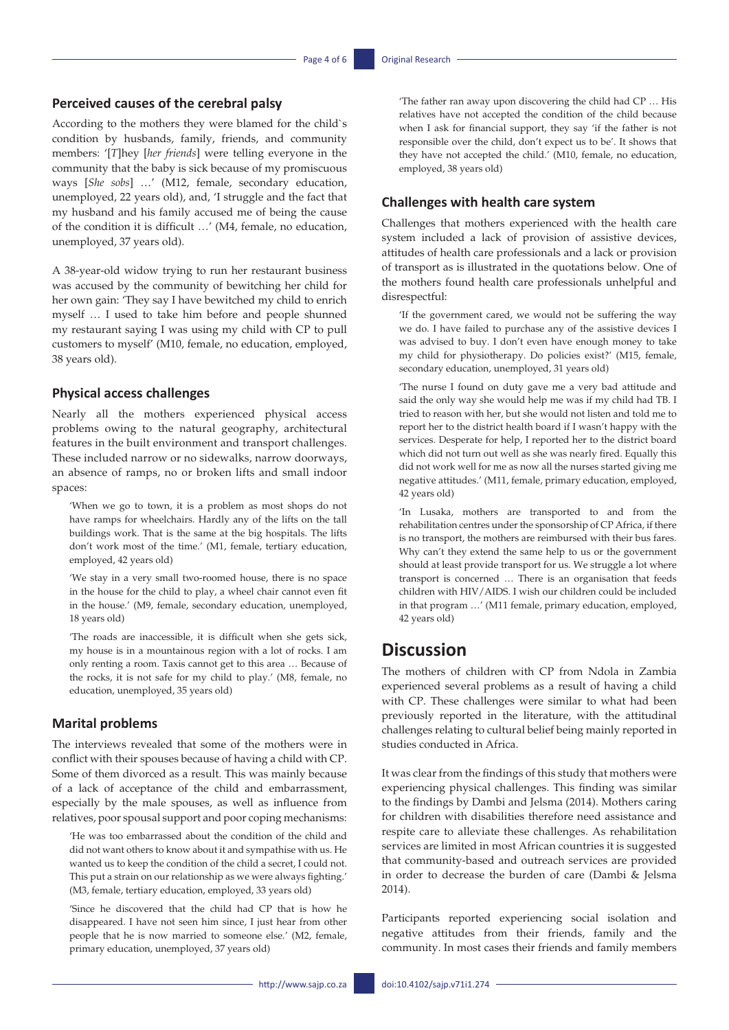### **Perceived causes of the cerebral palsy**

According to the mothers they were blamed for the child`s condition by husbands, family, friends, and community members: '[*T*]hey [*her friends*] were telling everyone in the community that the baby is sick because of my promiscuous ways [*She sobs*] …' (M12, female, secondary education, unemployed, 22 years old), and, 'I struggle and the fact that my husband and his family accused me of being the cause of the condition it is difficult …' (M4, female, no education, unemployed, 37 years old).

A 38-year-old widow trying to run her restaurant business was accused by the community of bewitching her child for her own gain: 'They say I have bewitched my child to enrich myself … I used to take him before and people shunned my restaurant saying I was using my child with CP to pull customers to myself' (M10, female, no education, employed, 38 years old).

### **Physical access challenges**

Nearly all the mothers experienced physical access problems owing to the natural geography, architectural features in the built environment and transport challenges. These included narrow or no sidewalks, narrow doorways, an absence of ramps, no or broken lifts and small indoor spaces:

'When we go to town, it is a problem as most shops do not have ramps for wheelchairs. Hardly any of the lifts on the tall buildings work. That is the same at the big hospitals. The lifts don't work most of the time.' (M1, female, tertiary education, employed, 42 years old)

'We stay in a very small two-roomed house, there is no space in the house for the child to play, a wheel chair cannot even fit in the house.' (M9, female, secondary education, unemployed, 18 years old)

'The roads are inaccessible, it is difficult when she gets sick, my house is in a mountainous region with a lot of rocks. I am only renting a room. Taxis cannot get to this area … Because of the rocks, it is not safe for my child to play.' (M8, female, no education, unemployed, 35 years old)

### **Marital problems**

The interviews revealed that some of the mothers were in conflict with their spouses because of having a child with CP. Some of them divorced as a result. This was mainly because of a lack of acceptance of the child and embarrassment, especially by the male spouses, as well as influence from relatives, poor spousal support and poor coping mechanisms:

'He was too embarrassed about the condition of the child and did not want others to know about it and sympathise with us. He wanted us to keep the condition of the child a secret, I could not. This put a strain on our relationship as we were always fighting.' (M3, female, tertiary education, employed, 33 years old)

'Since he discovered that the child had CP that is how he disappeared. I have not seen him since, I just hear from other people that he is now married to someone else.' (M2, female, primary education, unemployed, 37 years old)

'The father ran away upon discovering the child had CP … His relatives have not accepted the condition of the child because when I ask for financial support, they say 'if the father is not responsible over the child, don't expect us to be'. It shows that they have not accepted the child.' (M10, female, no education, employed, 38 years old)

### **Challenges with health care system**

Challenges that mothers experienced with the health care system included a lack of provision of assistive devices, attitudes of health care professionals and a lack or provision of transport as is illustrated in the quotations below. One of the mothers found health care professionals unhelpful and disrespectful:

'If the government cared, we would not be suffering the way we do. I have failed to purchase any of the assistive devices I was advised to buy. I don't even have enough money to take my child for physiotherapy. Do policies exist?' (M15, female, secondary education, unemployed, 31 years old)

'The nurse I found on duty gave me a very bad attitude and said the only way she would help me was if my child had TB. I tried to reason with her, but she would not listen and told me to report her to the district health board if I wasn't happy with the services. Desperate for help, I reported her to the district board which did not turn out well as she was nearly fired. Equally this did not work well for me as now all the nurses started giving me negative attitudes.' (M11, female, primary education, employed, 42 years old)

'In Lusaka, mothers are transported to and from the rehabilitation centres under the sponsorship of CP Africa, if there is no transport, the mothers are reimbursed with their bus fares. Why can't they extend the same help to us or the government should at least provide transport for us. We struggle a lot where transport is concerned … There is an organisation that feeds children with HIV/AIDS. I wish our children could be included in that program …' (M11 female, primary education, employed, 42 years old)

# **Discussion**

The mothers of children with CP from Ndola in Zambia experienced several problems as a result of having a child with CP. These challenges were similar to what had been previously reported in the literature, with the attitudinal challenges relating to cultural belief being mainly reported in studies conducted in Africa.

It was clear from the findings of this study that mothers were experiencing physical challenges. This finding was similar to the findings by Dambi and Jelsma (2014). Mothers caring for children with disabilities therefore need assistance and respite care to alleviate these challenges. As rehabilitation services are limited in most African countries it is suggested that community-based and outreach services are provided in order to decrease the burden of care (Dambi & Jelsma 2014).

Participants reported experiencing social isolation and negative attitudes from their friends, family and the community. In most cases their friends and family members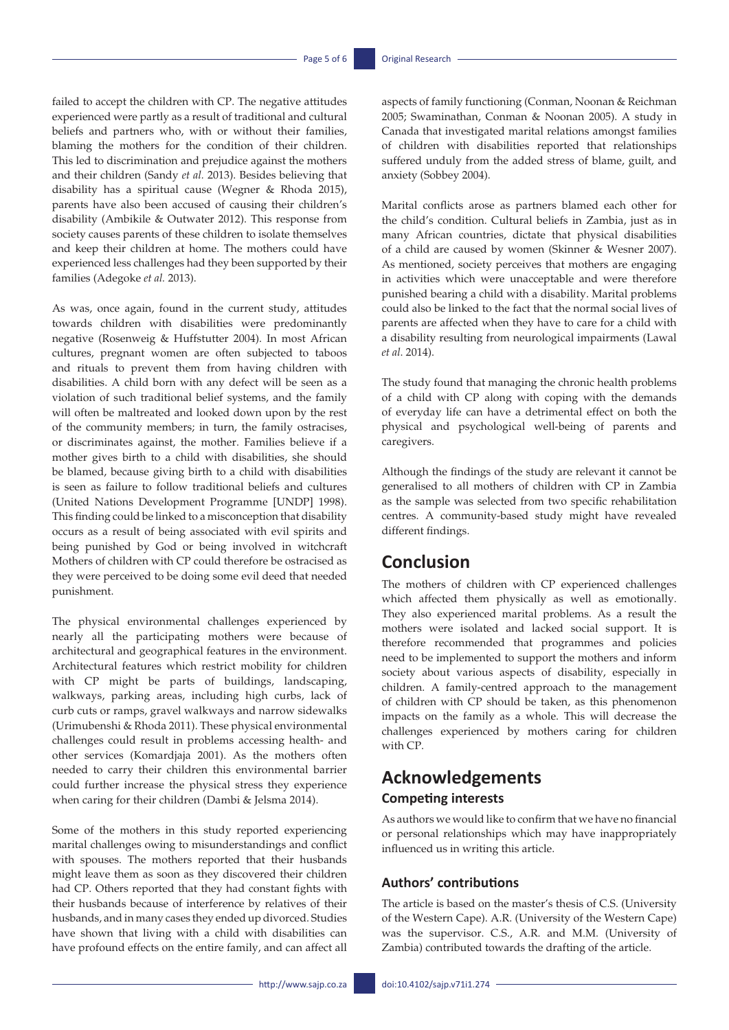failed to accept the children with CP. The negative attitudes experienced were partly as a result of traditional and cultural beliefs and partners who, with or without their families, blaming the mothers for the condition of their children. This led to discrimination and prejudice against the mothers and their children (Sandy *et al.* 2013). Besides believing that disability has a spiritual cause (Wegner & Rhoda 2015), parents have also been accused of causing their children's disability (Ambikile & Outwater 2012). This response from society causes parents of these children to isolate themselves and keep their children at home. The mothers could have experienced less challenges had they been supported by their families (Adegoke *et al.* 2013).

As was, once again, found in the current study, attitudes towards children with disabilities were predominantly negative (Rosenweig & Huffstutter 2004). In most African cultures, pregnant women are often subjected to taboos and rituals to prevent them from having children with disabilities. A child born with any defect will be seen as a violation of such traditional belief systems, and the family will often be maltreated and looked down upon by the rest of the community members; in turn, the family ostracises, or discriminates against, the mother. Families believe if a mother gives birth to a child with disabilities, she should be blamed, because giving birth to a child with disabilities is seen as failure to follow traditional beliefs and cultures (United Nations Development Programme [UNDP] 1998). This finding could be linked to a misconception that disability occurs as a result of being associated with evil spirits and being punished by God or being involved in witchcraft Mothers of children with CP could therefore be ostracised as they were perceived to be doing some evil deed that needed punishment.

The physical environmental challenges experienced by nearly all the participating mothers were because of architectural and geographical features in the environment. Architectural features which restrict mobility for children with CP might be parts of buildings, landscaping, walkways, parking areas, including high curbs, lack of curb cuts or ramps, gravel walkways and narrow sidewalks (Urimubenshi & Rhoda 2011). These physical environmental challenges could result in problems accessing health- and other services (Komardjaja 2001). As the mothers often needed to carry their children this environmental barrier could further increase the physical stress they experience when caring for their children (Dambi & Jelsma 2014).

Some of the mothers in this study reported experiencing marital challenges owing to misunderstandings and conflict with spouses. The mothers reported that their husbands might leave them as soon as they discovered their children had CP. Others reported that they had constant fights with their husbands because of interference by relatives of their husbands, and in many cases they ended up divorced. Studies have shown that living with a child with disabilities can have profound effects on the entire family, and can affect all

aspects of family functioning (Conman, Noonan & Reichman 2005; Swaminathan, Conman & Noonan 2005). A study in Canada that investigated marital relations amongst families of children with disabilities reported that relationships suffered unduly from the added stress of blame, guilt, and anxiety (Sobbey 2004).

Marital conflicts arose as partners blamed each other for the child's condition. Cultural beliefs in Zambia, just as in many African countries, dictate that physical disabilities of a child are caused by women (Skinner & Wesner 2007). As mentioned, society perceives that mothers are engaging in activities which were unacceptable and were therefore punished bearing a child with a disability. Marital problems could also be linked to the fact that the normal social lives of parents are affected when they have to care for a child with a disability resulting from neurological impairments (Lawal *et al*. 2014).

The study found that managing the chronic health problems of a child with CP along with coping with the demands of everyday life can have a detrimental effect on both the physical and psychological well-being of parents and caregivers.

Although the findings of the study are relevant it cannot be generalised to all mothers of children with CP in Zambia as the sample was selected from two specific rehabilitation centres. A community-based study might have revealed different findings.

# **Conclusion**

The mothers of children with CP experienced challenges which affected them physically as well as emotionally. They also experienced marital problems. As a result the mothers were isolated and lacked social support. It is therefore recommended that programmes and policies need to be implemented to support the mothers and inform society about various aspects of disability, especially in children. A family-centred approach to the management of children with CP should be taken, as this phenomenon impacts on the family as a whole. This will decrease the challenges experienced by mothers caring for children with CP.

# **Acknowledgements Competing interests**

As authors we would like to confirm that we have no financial or personal relationships which may have inappropriately influenced us in writing this article.

### **Authors' contributions**

The article is based on the master's thesis of C.S. (University of the Western Cape). A.R. (University of the Western Cape) was the supervisor. C.S., A.R. and M.M. (University of Zambia) contributed towards the drafting of the article.